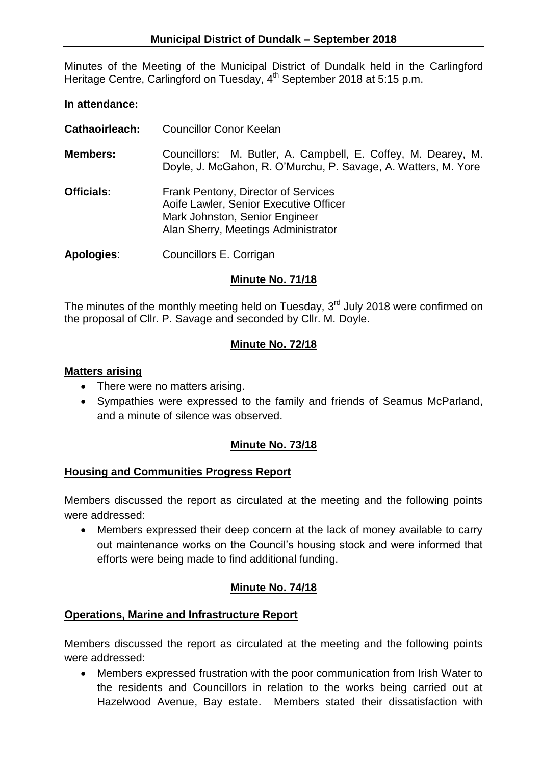Minutes of the Meeting of the Municipal District of Dundalk held in the Carlingford Heritage Centre, Carlingford on Tuesday, 4<sup>th</sup> September 2018 at 5:15 p.m.

#### **In attendance:**

- **Cathaoirleach:** Councillor Conor Keelan
- **Members:** Councillors: M. Butler, A. Campbell, E. Coffey, M. Dearey, M. Doyle, J. McGahon, R. O'Murchu, P. Savage, A. Watters, M. Yore
- **Officials:** Frank Pentony, Director of Services Aoife Lawler, Senior Executive Officer Mark Johnston, Senior Engineer Alan Sherry, Meetings Administrator

**Apologies**: Councillors E. Corrigan

### **Minute No. 71/18**

The minutes of the monthly meeting held on Tuesday,  $3<sup>rd</sup>$  July 2018 were confirmed on the proposal of Cllr. P. Savage and seconded by Cllr. M. Doyle.

#### **Minute No. 72/18**

#### **Matters arising**

- There were no matters arising.
- Sympathies were expressed to the family and friends of Seamus McParland, and a minute of silence was observed.

### **Minute No. 73/18**

### **Housing and Communities Progress Report**

Members discussed the report as circulated at the meeting and the following points were addressed:

 Members expressed their deep concern at the lack of money available to carry out maintenance works on the Council's housing stock and were informed that efforts were being made to find additional funding.

### **Minute No. 74/18**

### **Operations, Marine and Infrastructure Report**

Members discussed the report as circulated at the meeting and the following points were addressed:

 Members expressed frustration with the poor communication from Irish Water to the residents and Councillors in relation to the works being carried out at Hazelwood Avenue, Bay estate. Members stated their dissatisfaction with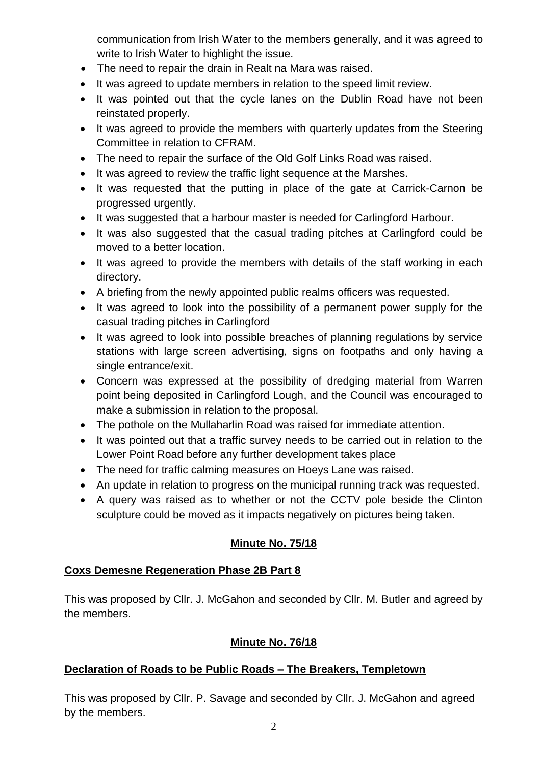communication from Irish Water to the members generally, and it was agreed to write to Irish Water to highlight the issue.

- The need to repair the drain in Realt na Mara was raised.
- It was agreed to update members in relation to the speed limit review.
- It was pointed out that the cycle lanes on the Dublin Road have not been reinstated properly.
- It was agreed to provide the members with quarterly updates from the Steering Committee in relation to CFRAM.
- The need to repair the surface of the Old Golf Links Road was raised.
- It was agreed to review the traffic light sequence at the Marshes.
- It was requested that the putting in place of the gate at Carrick-Carnon be progressed urgently.
- It was suggested that a harbour master is needed for Carlingford Harbour.
- It was also suggested that the casual trading pitches at Carlingford could be moved to a better location.
- It was agreed to provide the members with details of the staff working in each directory.
- A briefing from the newly appointed public realms officers was requested.
- It was agreed to look into the possibility of a permanent power supply for the casual trading pitches in Carlingford
- It was agreed to look into possible breaches of planning regulations by service stations with large screen advertising, signs on footpaths and only having a single entrance/exit.
- Concern was expressed at the possibility of dredging material from Warren point being deposited in Carlingford Lough, and the Council was encouraged to make a submission in relation to the proposal.
- The pothole on the Mullaharlin Road was raised for immediate attention.
- It was pointed out that a traffic survey needs to be carried out in relation to the Lower Point Road before any further development takes place
- The need for traffic calming measures on Hoeys Lane was raised.
- An update in relation to progress on the municipal running track was requested.
- A query was raised as to whether or not the CCTV pole beside the Clinton sculpture could be moved as it impacts negatively on pictures being taken.

# **Minute No. 75/18**

# **Coxs Demesne Regeneration Phase 2B Part 8**

This was proposed by Cllr. J. McGahon and seconded by Cllr. M. Butler and agreed by the members.

# **Minute No. 76/18**

# **Declaration of Roads to be Public Roads – The Breakers, Templetown**

This was proposed by Cllr. P. Savage and seconded by Cllr. J. McGahon and agreed by the members.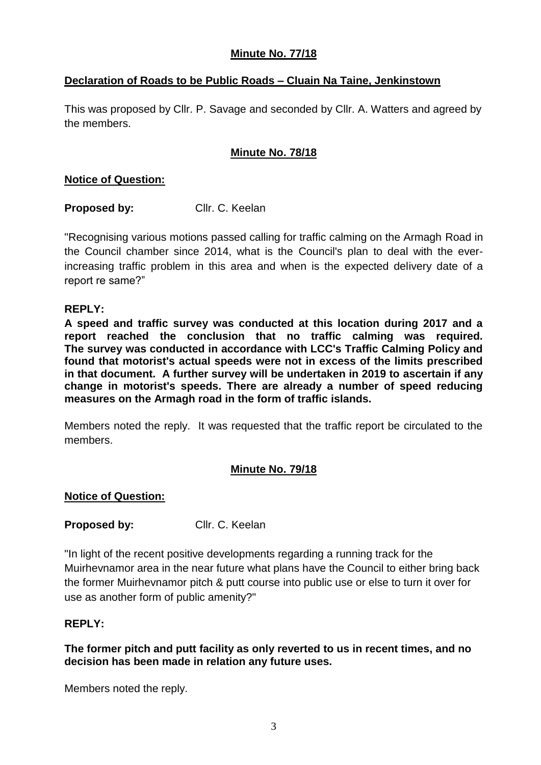## **Minute No. 77/18**

## **Declaration of Roads to be Public Roads – Cluain Na Taine, Jenkinstown**

This was proposed by Cllr. P. Savage and seconded by Cllr. A. Watters and agreed by the members.

## **Minute No. 78/18**

### **Notice of Question:**

**Proposed by:** Cllr. C. Keelan

"Recognising various motions passed calling for traffic calming on the Armagh Road in the Council chamber since 2014, what is the Council's plan to deal with the everincreasing traffic problem in this area and when is the expected delivery date of a report re same?"

### **REPLY:**

**A speed and traffic survey was conducted at this location during 2017 and a report reached the conclusion that no traffic calming was required. The survey was conducted in accordance with LCC's Traffic Calming Policy and found that motorist's actual speeds were not in excess of the limits prescribed in that document. A further survey will be undertaken in 2019 to ascertain if any change in motorist's speeds. There are already a number of speed reducing measures on the Armagh road in the form of traffic islands.**

Members noted the reply. It was requested that the traffic report be circulated to the members.

### **Minute No. 79/18**

### **Notice of Question:**

**Proposed by:** Cllr. C. Keelan

"In light of the recent positive developments regarding a running track for the Muirhevnamor area in the near future what plans have the Council to either bring back the former Muirhevnamor pitch & putt course into public use or else to turn it over for use as another form of public amenity?"

### **REPLY:**

**The former pitch and putt facility as only reverted to us in recent times, and no decision has been made in relation any future uses.**

Members noted the reply.